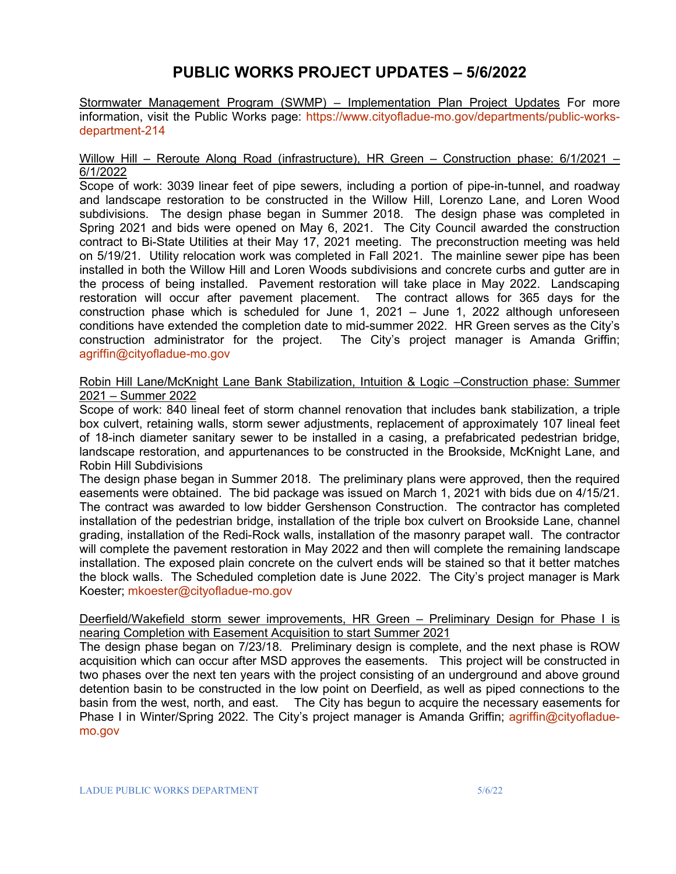# **PUBLIC WORKS PROJECT UPDATES – 5/6/2022**

Stormwater Management Program (SWMP) – Implementation Plan Project Updates For more information, visit the Public Works page: [https://www.cityofladue-mo.gov/departments/public-works](https://www.cityofladue-mo.gov/departments/public-works-department-214)[department-214](https://www.cityofladue-mo.gov/departments/public-works-department-214)

#### Willow Hill – Reroute Along Road (infrastructure), HR Green – Construction phase: 6/1/2021 – 6/1/2022

Scope of work: 3039 linear feet of pipe sewers, including a portion of pipe-in-tunnel, and roadway and landscape restoration to be constructed in the Willow Hill, Lorenzo Lane, and Loren Wood subdivisions. The design phase began in Summer 2018. The design phase was completed in Spring 2021 and bids were opened on May 6, 2021. The City Council awarded the construction contract to Bi-State Utilities at their May 17, 2021 meeting. The preconstruction meeting was held on 5/19/21. Utility relocation work was completed in Fall 2021. The mainline sewer pipe has been installed in both the Willow Hill and Loren Woods subdivisions and concrete curbs and gutter are in the process of being installed. Pavement restoration will take place in May 2022. Landscaping restoration will occur after pavement placement. The contract allows for 365 days for the construction phase which is scheduled for June 1, 2021 – June 1, 2022 although unforeseen conditions have extended the completion date to mid-summer 2022. HR Green serves as the City's construction administrator for the project. The City's project manager is Amanda Griffin; [agriffin@cityofladue-mo.gov](mailto:agriffin@cityofladue-mo.gov)

Robin Hill Lane/McKnight Lane Bank Stabilization, Intuition & Logic –Construction phase: Summer 2021 – Summer 2022

Scope of work: 840 lineal feet of storm channel renovation that includes bank stabilization, a triple box culvert, retaining walls, storm sewer adjustments, replacement of approximately 107 lineal feet of 18-inch diameter sanitary sewer to be installed in a casing, a prefabricated pedestrian bridge, landscape restoration, and appurtenances to be constructed in the Brookside, McKnight Lane, and Robin Hill Subdivisions

The design phase began in Summer 2018. The preliminary plans were approved, then the required easements were obtained. The bid package was issued on March 1, 2021 with bids due on 4/15/21. The contract was awarded to low bidder Gershenson Construction. The contractor has completed installation of the pedestrian bridge, installation of the triple box culvert on Brookside Lane, channel grading, installation of the Redi-Rock walls, installation of the masonry parapet wall. The contractor will complete the pavement restoration in May 2022 and then will complete the remaining landscape installation. The exposed plain concrete on the culvert ends will be stained so that it better matches the block walls. The Scheduled completion date is June 2022. The City's project manager is Mark Koester; [mkoester@cityofladue-mo.gov](mailto:mkoester@cityofladue-mo.gov)

#### Deerfield/Wakefield storm sewer improvements, HR Green - Preliminary Design for Phase I is nearing Completion with Easement Acquisition to start Summer 2021

The design phase began on 7/23/18. Preliminary design is complete, and the next phase is ROW acquisition which can occur after MSD approves the easements. This project will be constructed in two phases over the next ten years with the project consisting of an underground and above ground detention basin to be constructed in the low point on Deerfield, as well as piped connections to the basin from the west, north, and east. The City has begun to acquire the necessary easements for Phase I in Winter/Spring 2022. The City's project manager is Amanda Griffin; [agriffin@cityofladue](mailto:agriffin@cityofladue-mo.gov)[mo.gov](mailto:agriffin@cityofladue-mo.gov)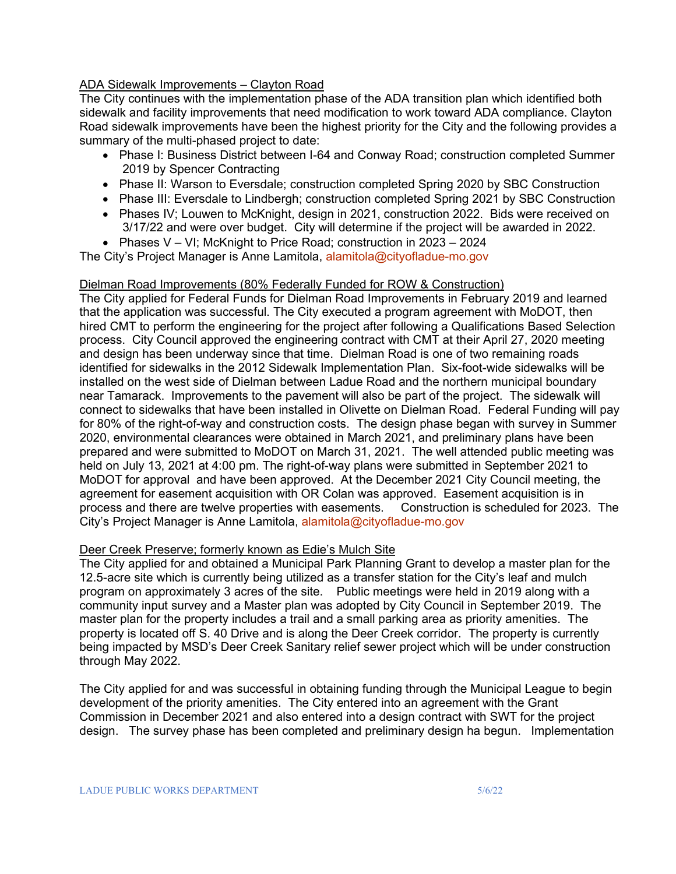## ADA Sidewalk Improvements – Clayton Road

The City continues with the implementation phase of the ADA transition plan which identified both sidewalk and facility improvements that need modification to work toward ADA compliance. Clayton Road sidewalk improvements have been the highest priority for the City and the following provides a summary of the multi-phased project to date:

- Phase I: Business District between I-64 and Conway Road; construction completed Summer 2019 by Spencer Contracting
- Phase II: Warson to Eversdale; construction completed Spring 2020 by SBC Construction
- Phase III: Eversdale to Lindbergh; construction completed Spring 2021 by SBC Construction
- Phases IV; Louwen to McKnight, design in 2021, construction 2022. Bids were received on 3/17/22 and were over budget. City will determine if the project will be awarded in 2022.
- Phases V VI; McKnight to Price Road; construction in 2023 2024

The City's Project Manager is Anne Lamitola, [alamitola@cityofladue-mo.gov](mailto:alamitola@cityofladue-mo.gov)

## Dielman Road Improvements (80% Federally Funded for ROW & Construction)

The City applied for Federal Funds for Dielman Road Improvements in February 2019 and learned that the application was successful. The City executed a program agreement with MoDOT, then hired CMT to perform the engineering for the project after following a Qualifications Based Selection process. City Council approved the engineering contract with CMT at their April 27, 2020 meeting and design has been underway since that time. Dielman Road is one of two remaining roads identified for sidewalks in the 2012 Sidewalk Implementation Plan. Six-foot-wide sidewalks will be installed on the west side of Dielman between Ladue Road and the northern municipal boundary near Tamarack. Improvements to the pavement will also be part of the project. The sidewalk will connect to sidewalks that have been installed in Olivette on Dielman Road. Federal Funding will pay for 80% of the right-of-way and construction costs. The design phase began with survey in Summer 2020, environmental clearances were obtained in March 2021, and preliminary plans have been prepared and were submitted to MoDOT on March 31, 2021. The well attended public meeting was held on July 13, 2021 at 4:00 pm. The right-of-way plans were submitted in September 2021 to MoDOT for approval and have been approved. At the December 2021 City Council meeting, the agreement for easement acquisition with OR Colan was approved. Easement acquisition is in process and there are twelve properties with easements. Construction is scheduled for 2023. The City's Project Manager is Anne Lamitola, [alamitola@cityofladue-mo.gov](mailto:alamitola@cityofladue-mo.gov)

## Deer Creek Preserve; formerly known as Edie's Mulch Site

The City applied for and obtained a Municipal Park Planning Grant to develop a master plan for the 12.5-acre site which is currently being utilized as a transfer station for the City's leaf and mulch program on approximately 3 acres of the site. Public meetings were held in 2019 along with a community input survey and a Master plan was adopted by City Council in September 2019. The master plan for the property includes a trail and a small parking area as priority amenities. The property is located off S. 40 Drive and is along the Deer Creek corridor. The property is currently being impacted by MSD's Deer Creek Sanitary relief sewer project which will be under construction through May 2022.

The City applied for and was successful in obtaining funding through the Municipal League to begin development of the priority amenities. The City entered into an agreement with the Grant Commission in December 2021 and also entered into a design contract with SWT for the project design. The survey phase has been completed and preliminary design ha begun. Implementation